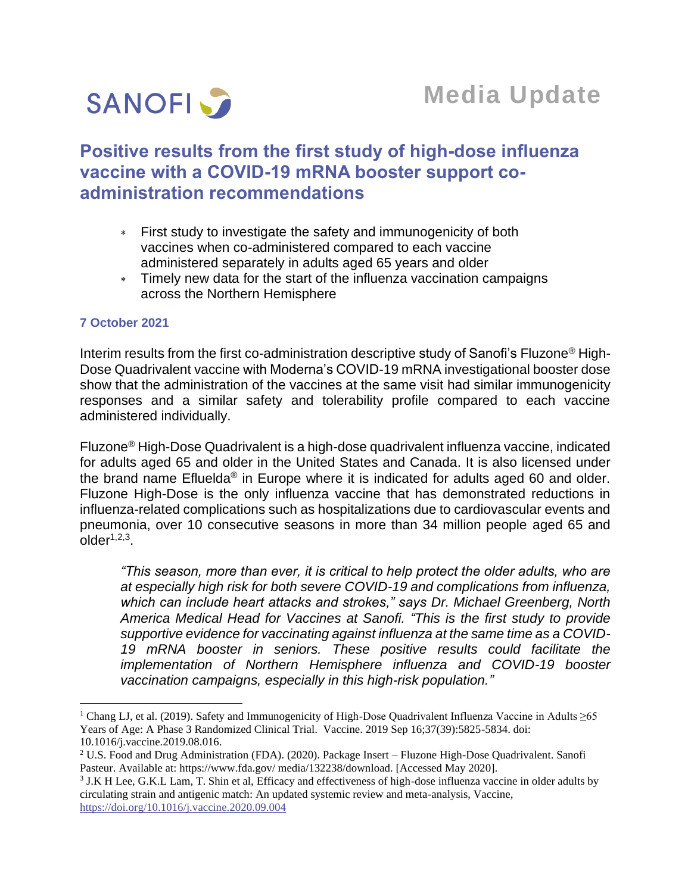

# **Positive results from the first study of high-dose influenza vaccine with a COVID-19 mRNA booster support coadministration recommendations**

- First study to investigate the safety and immunogenicity of both vaccines when co-administered compared to each vaccine administered separately in adults aged 65 years and older
- Timely new data for the start of the influenza vaccination campaigns across the Northern Hemisphere

### **7 October 2021**

Interim results from the first co-administration descriptive study of Sanofi's Fluzone® High-Dose Quadrivalent vaccine with Moderna's COVID-19 mRNA investigational booster dose show that the administration of the vaccines at the same visit had similar immunogenicity responses and a similar safety and tolerability profile compared to each vaccine administered individually.

Fluzone® High-Dose Quadrivalent is a high-dose quadrivalent influenza vaccine, indicated for adults aged 65 and older in the United States and Canada. It is also licensed under the brand name Efluelda<sup>®</sup> in Europe where it is indicated for adults aged 60 and older. Fluzone High-Dose is the only influenza vaccine that has demonstrated reductions in influenza-related complications such as hospitalizations due to cardiovascular events and pneumonia, over 10 consecutive seasons in more than 34 million people aged 65 and  $older<sup>1,2,3</sup>$ .

*"This season, more than ever, it is critical to help protect the older adults, who are at especially high risk for both severe COVID-19 and complications from influenza, which can include heart attacks and strokes," says Dr. Michael Greenberg, North America Medical Head for Vaccines at Sanofi. "This is the first study to provide supportive evidence for vaccinating against influenza at the same time as a COVID-19 mRNA booster in seniors. These positive results could facilitate the implementation of Northern Hemisphere influenza and COVID-19 booster vaccination campaigns, especially in this high-risk population."*

<sup>&</sup>lt;sup>1</sup> Chang LJ, et al. (2019). Safety and Immunogenicity of High-Dose Quadrivalent Influenza Vaccine in Adults  $\geq 65$ Years of Age: A Phase 3 Randomized Clinical Trial. Vaccine. 2019 Sep 16;37(39):5825-5834. doi: 10.1016/j.vaccine.2019.08.016.

<sup>2</sup> U.S. Food and Drug Administration (FDA). (2020). Package Insert – Fluzone High-Dose Quadrivalent. Sanofi Pasteur. Available at: https://www.fda.gov/ media/132238/download. [Accessed May 2020].

<sup>3</sup> J.K H Lee, G.K.L Lam, T. Shin et al, Efficacy and effectiveness of high-dose influenza vaccine in older adults by circulating strain and antigenic match: An updated systemic review and meta-analysis, Vaccine, <https://doi.org/10.1016/j.vaccine.2020.09.004>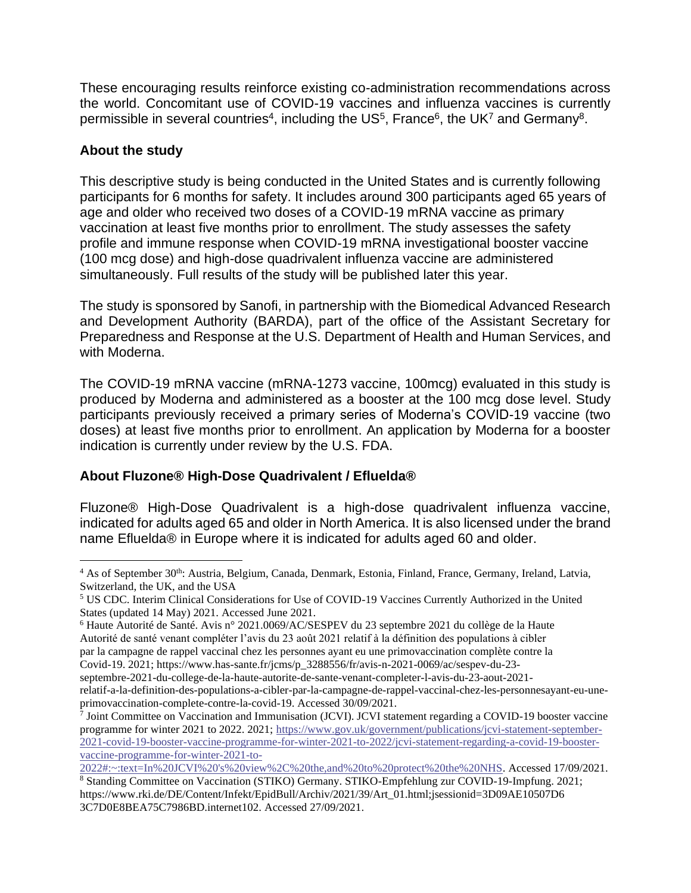These encouraging results reinforce existing co-administration recommendations across the world. Concomitant use of COVID-19 vaccines and influenza vaccines is currently permissible in several countries<sup>4</sup>, including the US<sup>5</sup>, France<sup>6</sup>, the UK<sup>7</sup> and Germany<sup>8</sup>.

### **About the study**

This descriptive study is being conducted in the United States and is currently following participants for 6 months for safety. It includes around 300 participants aged 65 years of age and older who received two doses of a COVID-19 mRNA vaccine as primary vaccination at least five months prior to enrollment. The study assesses the safety profile and immune response when COVID-19 mRNA investigational booster vaccine (100 mcg dose) and high-dose quadrivalent influenza vaccine are administered simultaneously. Full results of the study will be published later this year.

The study is sponsored by Sanofi, in partnership with the Biomedical Advanced Research and Development Authority (BARDA), part of the office of the Assistant Secretary for Preparedness and Response at the U.S. Department of Health and Human Services, and with Moderna.

The COVID-19 mRNA vaccine (mRNA-1273 vaccine, 100mcg) evaluated in this study is produced by Moderna and administered as a booster at the 100 mcg dose level. Study participants previously received a primary series of Moderna's COVID-19 vaccine (two doses) at least five months prior to enrollment. An application by Moderna for a booster indication is currently under review by the U.S. FDA.

## **About Fluzone® High-Dose Quadrivalent / Efluelda®**

Fluzone® High-Dose Quadrivalent is a high-dose quadrivalent influenza vaccine, indicated for adults aged 65 and older in North America. It is also licensed under the brand name Efluelda® in Europe where it is indicated for adults aged 60 and older.

<sup>6</sup> Haute Autorité de Santé. Avis n° 2021.0069/AC/SESPEV du 23 septembre 2021 du collège de la Haute Autorité de santé venant compléter l'avis du 23 août 2021 relatif à la définition des populations à cibler par la campagne de rappel vaccinal chez les personnes ayant eu une primovaccination complète contre la

Covid-19. 2021; https://www.has-sante.fr/jcms/p\_3288556/fr/avis-n-2021-0069/ac/sespev-du-23-

<sup>&</sup>lt;sup>4</sup> As of September 30<sup>th</sup>: Austria, Belgium, Canada, Denmark, Estonia, Finland, France, Germany, Ireland, Latvia, Switzerland, the UK, and the USA

<sup>5</sup> US CDC. Interim Clinical Considerations for Use of COVID-19 Vaccines Currently Authorized in the United States (updated 14 May) 2021. Accessed June 2021.

septembre-2021-du-college-de-la-haute-autorite-de-sante-venant-completer-l-avis-du-23-aout-2021 relatif-a-la-definition-des-populations-a-cibler-par-la-campagne-de-rappel-vaccinal-chez-les-personnesayant-eu-uneprimovaccination-complete-contre-la-covid-19. Accessed 30/09/2021.

<sup>7</sup> Joint Committee on Vaccination and Immunisation (JCVI). JCVI statement regarding a COVID-19 booster vaccine programme for winter 2021 to 2022. 2021[; https://www.gov.uk/government/publications/jcvi-statement-september-](https://www.gov.uk/government/publications/jcvi-statement-september-2021-covid-19-booster-vaccine-programme-for-winter-2021-to-2022/jcvi-statement-regarding-a-covid-19-booster-vaccine-programme-for-winter-2021-to-2022#:~:text=In%20JCVI%20)[2021-covid-19-booster-vaccine-programme-for-winter-2021-to-2022/jcvi-statement-regarding-a-covid-19-booster](https://www.gov.uk/government/publications/jcvi-statement-september-2021-covid-19-booster-vaccine-programme-for-winter-2021-to-2022/jcvi-statement-regarding-a-covid-19-booster-vaccine-programme-for-winter-2021-to-2022#:~:text=In%20JCVI%20)[vaccine-programme-for-winter-2021-to-](https://www.gov.uk/government/publications/jcvi-statement-september-2021-covid-19-booster-vaccine-programme-for-winter-2021-to-2022/jcvi-statement-regarding-a-covid-19-booster-vaccine-programme-for-winter-2021-to-2022#:~:text=In%20JCVI%20)

[<sup>2022#:~:</sup>text=In%20JCVI%20's%20view%2C%20the,and%20to%20protect%20the%20NHS.](https://www.gov.uk/government/publications/jcvi-statement-september-2021-covid-19-booster-vaccine-programme-for-winter-2021-to-2022/jcvi-statement-regarding-a-covid-19-booster-vaccine-programme-for-winter-2021-to-2022#:~:text=In%20JCVI%20) Accessed 17/09/2021.

<sup>8</sup> Standing Committee on Vaccination (STIKO) Germany. STIKO-Empfehlung zur COVID-19-Impfung. 2021; https://www.rki.de/DE/Content/Infekt/EpidBull/Archiv/2021/39/Art\_01.html;jsessionid=3D09AE10507D6 3C7D0E8BEA75C7986BD.internet102. Accessed 27/09/2021.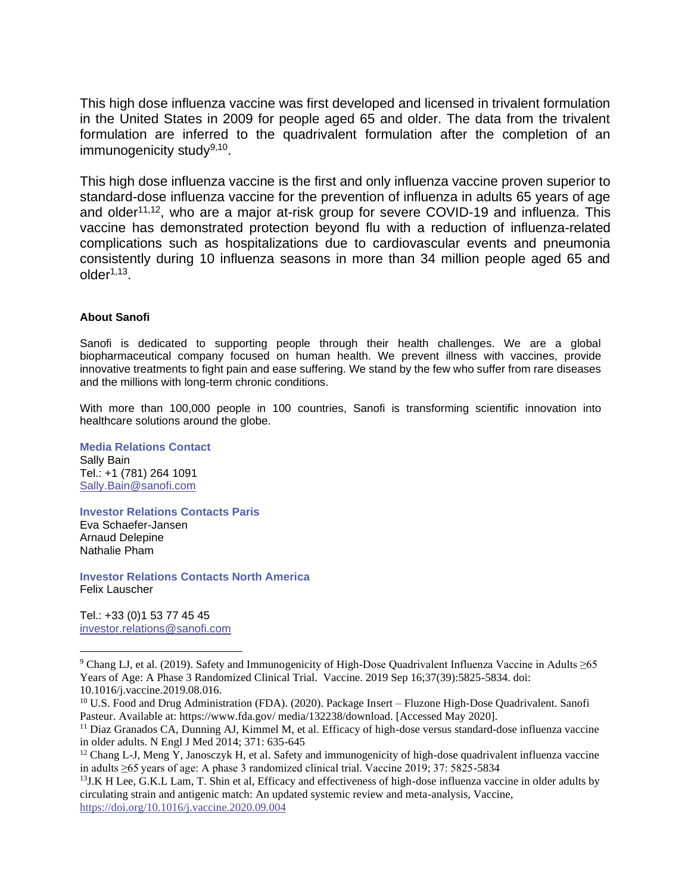This high dose influenza vaccine was first developed and licensed in trivalent formulation in the United States in 2009 for people aged 65 and older. The data from the trivalent formulation are inferred to the quadrivalent formulation after the completion of an immunogenicity study<sup>9,10</sup>.

This high dose influenza vaccine is the first and only influenza vaccine proven superior to standard-dose influenza vaccine for the prevention of influenza in adults 65 years of age and older<sup>11,12</sup>, who are a major at-risk group for severe COVID-19 and influenza. This vaccine has demonstrated protection beyond flu with a reduction of influenza-related complications such as hospitalizations due to cardiovascular events and pneumonia consistently during 10 influenza seasons in more than 34 million people aged 65 and  $older<sup>1,13</sup>$ .

### **About Sanofi**

Sanofi is dedicated to supporting people through their health challenges. We are a global biopharmaceutical company focused on human health. We prevent illness with vaccines, provide innovative treatments to fight pain and ease suffering. We stand by the few who suffer from rare diseases and the millions with long-term chronic conditions.

With more than 100,000 people in 100 countries, Sanofi is transforming scientific innovation into healthcare solutions around the globe.

**Media Relations Contact** Sally Bain Tel.: +1 (781) 264 1091 [Sally.Bain@sanofi.com](mailto:Sally.Bain@sanofi.com)

**Investor Relations Contacts Paris** Eva Schaefer-Jansen Arnaud Delepine Nathalie Pham

**Investor Relations Contacts North America** Felix Lauscher

Tel.: +33 (0)1 53 77 45 45 [investor.relations@sanofi.com](mailto:investor.relations@sanofi.com)

<sup>9</sup> Chang LJ, et al. (2019). Safety and Immunogenicity of High-Dose Quadrivalent Influenza Vaccine in Adults ≥65 Years of Age: A Phase 3 Randomized Clinical Trial. Vaccine. 2019 Sep 16;37(39):5825-5834. doi: 10.1016/j.vaccine.2019.08.016.

<sup>10</sup> U.S. Food and Drug Administration (FDA). (2020). Package Insert – Fluzone High-Dose Quadrivalent. Sanofi Pasteur. Available at: https://www.fda.gov/ media/132238/download. [Accessed May 2020].

<sup>&</sup>lt;sup>11</sup> Diaz Granados CA, Dunning AJ, Kimmel M, et al. Efficacy of high-dose versus standard-dose influenza vaccine in older adults. N Engl J Med 2014; 371: 635-645

 $12$  Chang L-J, Meng Y, Janosczyk H, et al. Safety and immunogenicity of high-dose quadrivalent influenza vaccine in adults ≥65 years of age: A phase 3 randomized clinical trial. Vaccine 2019; 37: 5825-5834

<sup>&</sup>lt;sup>13</sup>J.K H Lee, G.K.L Lam, T. Shin et al, Efficacy and effectiveness of high-dose influenza vaccine in older adults by circulating strain and antigenic match: An updated systemic review and meta-analysis, Vaccine, <https://doi.org/10.1016/j.vaccine.2020.09.004>